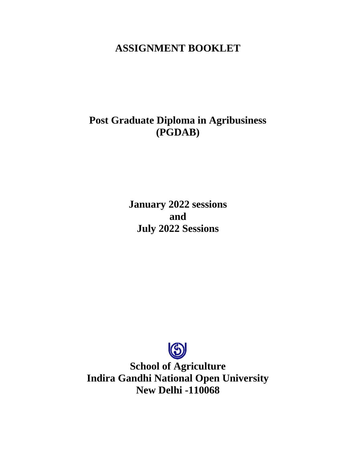# **ASSIGNMENT BOOKLET**

# **Post Graduate Diploma in Agribusiness (PGDAB)**

**January 2022 sessions and July 2022 Sessions**



**School of Agriculture Indira Gandhi National Open University New Delhi -110068**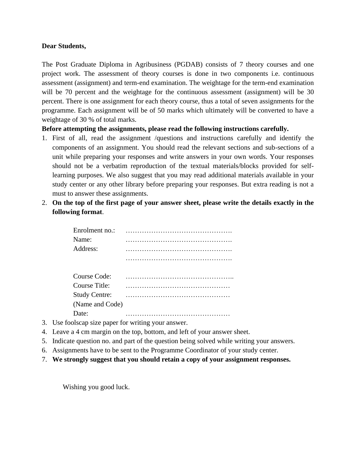#### **Dear Students,**

The Post Graduate Diploma in Agribusiness (PGDAB) consists of 7 theory courses and one project work. The assessment of theory courses is done in two components i.e. continuous assessment (assignment) and term-end examination. The weightage for the term-end examination will be 70 percent and the weightage for the continuous assessment (assignment) will be 30 percent. There is one assignment for each theory course, thus a total of seven assignments for the programme. Each assignment will be of 50 marks which ultimately will be converted to have a weightage of 30 % of total marks.

#### **Before attempting the assignments, please read the following instructions carefully.**

- 1. First of all, read the assignment /questions and instructions carefully and identify the components of an assignment. You should read the relevant sections and sub-sections of a unit while preparing your responses and write answers in your own words. Your responses should not be a verbatim reproduction of the textual materials/blocks provided for selflearning purposes. We also suggest that you may read additional materials available in your study center or any other library before preparing your responses. But extra reading is not a must to answer these assignments.
- 2. **On the top of the first page of your answer sheet, please write the details exactly in the following format**.

| Enrolment no.:       |  |  |  |  |  |  |  |  |  |  |  |  |  |  |  |  |  |
|----------------------|--|--|--|--|--|--|--|--|--|--|--|--|--|--|--|--|--|
| Name:                |  |  |  |  |  |  |  |  |  |  |  |  |  |  |  |  |  |
| Address:             |  |  |  |  |  |  |  |  |  |  |  |  |  |  |  |  |  |
|                      |  |  |  |  |  |  |  |  |  |  |  |  |  |  |  |  |  |
| Course Code:         |  |  |  |  |  |  |  |  |  |  |  |  |  |  |  |  |  |
| Course Title:        |  |  |  |  |  |  |  |  |  |  |  |  |  |  |  |  |  |
| <b>Study Centre:</b> |  |  |  |  |  |  |  |  |  |  |  |  |  |  |  |  |  |
| (Name and Code)      |  |  |  |  |  |  |  |  |  |  |  |  |  |  |  |  |  |
| Date:                |  |  |  |  |  |  |  |  |  |  |  |  |  |  |  |  |  |

- 3. Use foolscap size paper for writing your answer.
- 4. Leave a 4 cm margin on the top, bottom, and left of your answer sheet.
- 5. Indicate question no. and part of the question being solved while writing your answers.
- 6. Assignments have to be sent to the Programme Coordinator of your study center.
- 7. **We strongly suggest that you should retain a copy of your assignment responses.**

Wishing you good luck.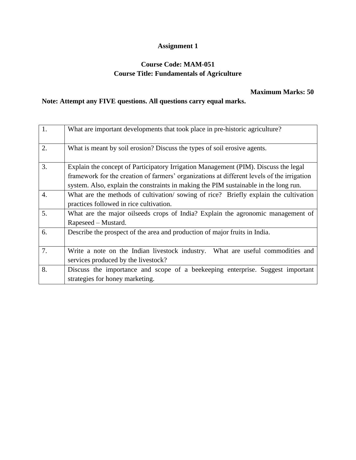### **Course Code: MAM-051 Course Title: Fundamentals of Agriculture**

### **Maximum Marks: 50**

| $\overline{1}$ . | What are important developments that took place in pre-historic agriculture?                                                                                                                                                                                              |
|------------------|---------------------------------------------------------------------------------------------------------------------------------------------------------------------------------------------------------------------------------------------------------------------------|
| 2.               | What is meant by soil erosion? Discuss the types of soil erosive agents.                                                                                                                                                                                                  |
| 3.               | Explain the concept of Participatory Irrigation Management (PIM). Discuss the legal<br>framework for the creation of farmers' organizations at different levels of the irrigation<br>system. Also, explain the constraints in making the PIM sustainable in the long run. |
| $\overline{4}$ . | What are the methods of cultivation/sowing of rice? Briefly explain the cultivation<br>practices followed in rice cultivation.                                                                                                                                            |
| 5.               | What are the major oilseeds crops of India? Explain the agronomic management of<br>Rapeseed – Mustard.                                                                                                                                                                    |
| 6.               | Describe the prospect of the area and production of major fruits in India.                                                                                                                                                                                                |
| 7.               | Write a note on the Indian livestock industry.<br>What are useful commodities and<br>services produced by the livestock?                                                                                                                                                  |
| 8.               | Discuss the importance and scope of a beekeeping enterprise. Suggest important<br>strategies for honey marketing.                                                                                                                                                         |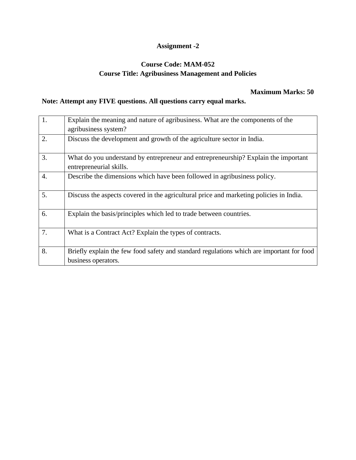### **Course Code: MAM-052 Course Title: Agribusiness Management and Policies**

#### **Maximum Marks: 50**

| $\vert$ 1.       | Explain the meaning and nature of agribusiness. What are the components of the            |
|------------------|-------------------------------------------------------------------------------------------|
|                  | agribusiness system?                                                                      |
| 2.               | Discuss the development and growth of the agriculture sector in India.                    |
|                  |                                                                                           |
| 3.               | What do you understand by entrepreneur and entrepreneurship? Explain the important        |
|                  | entrepreneurial skills.                                                                   |
| $\overline{4}$ . | Describe the dimensions which have been followed in agribusiness policy.                  |
|                  |                                                                                           |
| 5.               | Discuss the aspects covered in the agricultural price and marketing policies in India.    |
|                  |                                                                                           |
| 6.               | Explain the basis/principles which led to trade between countries.                        |
|                  |                                                                                           |
| 7.               | What is a Contract Act? Explain the types of contracts.                                   |
|                  |                                                                                           |
| 8.               | Briefly explain the few food safety and standard regulations which are important for food |
|                  | business operators.                                                                       |
|                  |                                                                                           |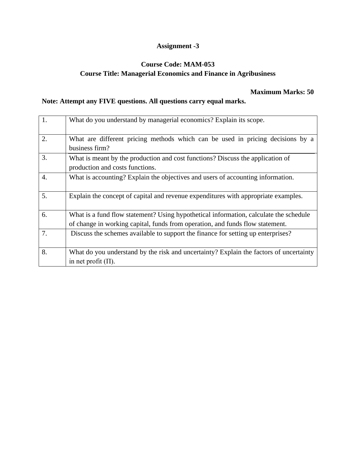### **Course Code: MAM-053 Course Title: Managerial Economics and Finance in Agribusiness**

#### **Maximum Marks: 50**

| 1. | What do you understand by managerial economics? Explain its scope.                     |
|----|----------------------------------------------------------------------------------------|
|    |                                                                                        |
| 2. | What are different pricing methods which can be used in pricing decisions by a         |
|    | business firm?                                                                         |
| 3. | What is meant by the production and cost functions? Discuss the application of         |
|    | production and costs functions.                                                        |
| 4. | What is accounting? Explain the objectives and users of accounting information.        |
|    |                                                                                        |
| 5. | Explain the concept of capital and revenue expenditures with appropriate examples.     |
|    |                                                                                        |
| 6. | What is a fund flow statement? Using hypothetical information, calculate the schedule  |
|    | of change in working capital, funds from operation, and funds flow statement.          |
| 7. | Discuss the schemes available to support the finance for setting up enterprises?       |
|    |                                                                                        |
| 8. | What do you understand by the risk and uncertainty? Explain the factors of uncertainty |
|    | in net profit $(\Pi)$ .                                                                |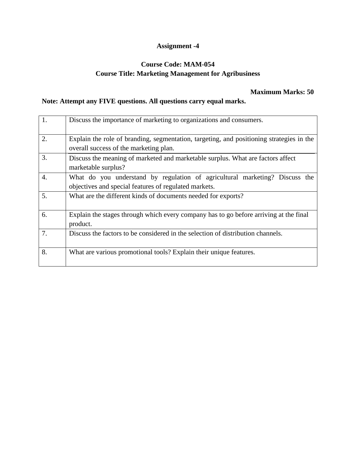### **Course Code: MAM-054 Course Title: Marketing Management for Agribusiness**

#### **Maximum Marks: 50**

| $\overline{1}$ . | Discuss the importance of marketing to organizations and consumers.                                                                  |
|------------------|--------------------------------------------------------------------------------------------------------------------------------------|
| 2.               | Explain the role of branding, segmentation, targeting, and positioning strategies in the<br>overall success of the marketing plan.   |
| 3.               | Discuss the meaning of marketed and marketable surplus. What are factors affect<br>marketable surplus?                               |
| 4.               | What do you understand by regulation of agricultural marketing? Discuss the<br>objectives and special features of regulated markets. |
| 5.               | What are the different kinds of documents needed for exports?                                                                        |
| 6.               | Explain the stages through which every company has to go before arriving at the final<br>product.                                    |
| 7.               | Discuss the factors to be considered in the selection of distribution channels.                                                      |
| 8.               | What are various promotional tools? Explain their unique features.                                                                   |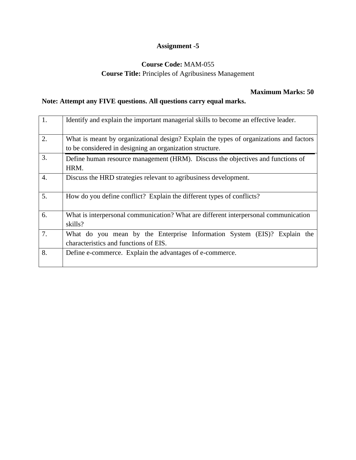### **Course Code:** MAM-055

#### **Course Title:** Principles of Agribusiness Management

### **Maximum Marks: 50**

| 1.               | Identify and explain the important managerial skills to become an effective leader.                                                                |
|------------------|----------------------------------------------------------------------------------------------------------------------------------------------------|
| 2.               | What is meant by organizational design? Explain the types of organizations and factors<br>to be considered in designing an organization structure. |
| 3.               | Define human resource management (HRM). Discuss the objectives and functions of<br>HRM.                                                            |
| $\overline{4}$ . | Discuss the HRD strategies relevant to agribusiness development.                                                                                   |
| 5.               | How do you define conflict? Explain the different types of conflicts?                                                                              |
| 6.               | What is interpersonal communication? What are different interpersonal communication<br>skills?                                                     |
| 7.               | What do you mean by the Enterprise Information System (EIS)? Explain the<br>characteristics and functions of EIS.                                  |
| 8.               | Define e-commerce. Explain the advantages of e-commerce.                                                                                           |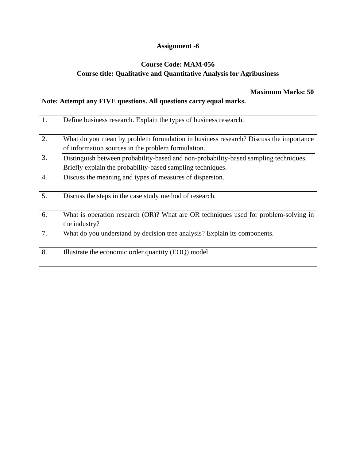### **Course Code: MAM-056 Course title: Qualitative and Quantitative Analysis for Agribusiness**

#### **Maximum Marks: 50**

| $\overline{1}$ . | Define business research. Explain the types of business research.                                                                                  |
|------------------|----------------------------------------------------------------------------------------------------------------------------------------------------|
| 2.               | What do you mean by problem formulation in business research? Discuss the importance<br>of information sources in the problem formulation.         |
| 3.               | Distinguish between probability-based and non-probability-based sampling techniques.<br>Briefly explain the probability-based sampling techniques. |
| $\overline{4}$ . | Discuss the meaning and types of measures of dispersion.                                                                                           |
| 5.               | Discuss the steps in the case study method of research.                                                                                            |
| 6.               | What is operation research (OR)? What are OR techniques used for problem-solving in<br>the industry?                                               |
| 7.               | What do you understand by decision tree analysis? Explain its components.                                                                          |
| 8.               | Illustrate the economic order quantity (EOQ) model.                                                                                                |